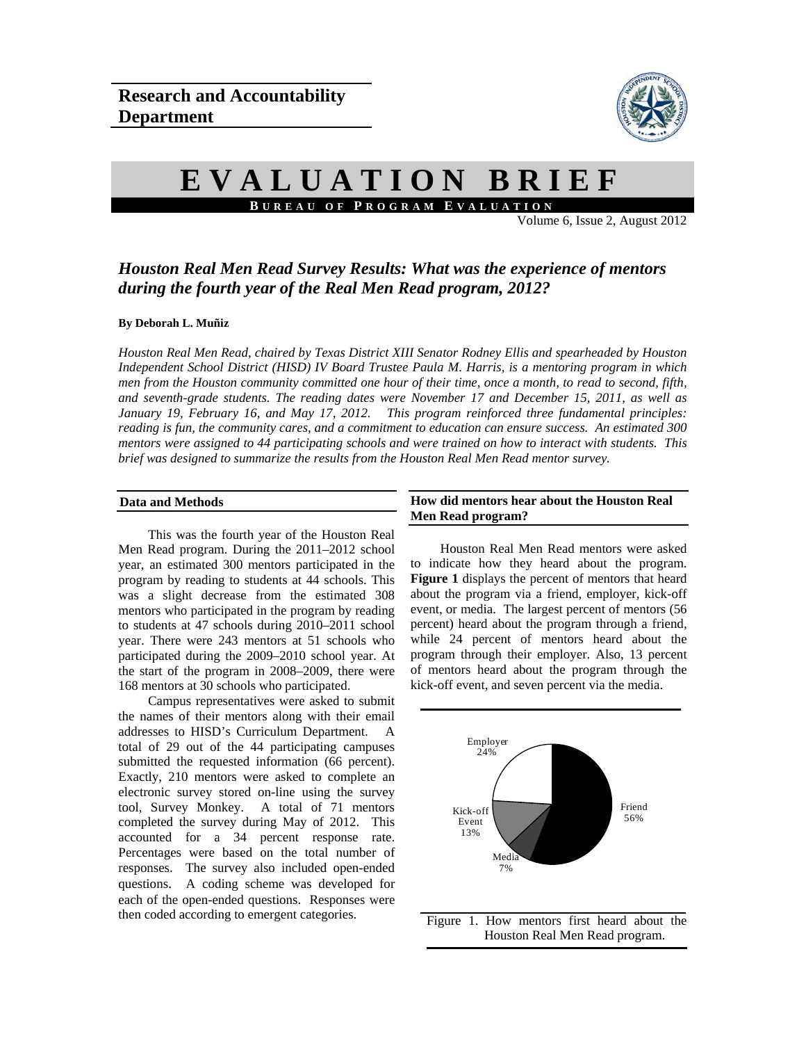

# **EVALUATION BRIEF B UREAU OF P ROGRAM E VALUATION**

Volume 6, Issue 2, August 2012

# *Houston Real Men Read Survey Results: What was the experience of mentors during the fourth year of the Real Men Read program, 2012?*

#### **By Deborah L. Muñiz**

*Houston Real Men Read, chaired by Texas District XIII Senator Rodney Ellis and spearheaded by Houston Independent School District (HISD) IV Board Trustee Paula M. Harris, is a mentoring program in which men from the Houston community committed one hour of their time, once a month, to read to second, fifth, and seventh-grade students. The reading dates were November 17 and December 15, 2011, as well as January 19, February 16, and May 17, 2012. This program reinforced three fundamental principles: reading is fun, the community cares, and a commitment to education can ensure success. An estimated 300 mentors were assigned to 44 participating schools and were trained on how to interact with students. This brief was designed to summarize the results from the Houston Real Men Read mentor survey.* 

#### **Data and Methods**

This was the fourth year of the Houston Real Men Read program. During the 2011–2012 school year, an estimated 300 mentors participated in the program by reading to students at 44 schools. This was a slight decrease from the estimated 308 mentors who participated in the program by reading to students at 47 schools during 2010–2011 school year. There were 243 mentors at 51 schools who participated during the 2009–2010 school year. At the start of the program in 2008–2009, there were 168 mentors at 30 schools who participated.

Campus representatives were asked to submit the names of their mentors along with their email addresses to HISD's Curriculum Department. A total of 29 out of the 44 participating campuses submitted the requested information (66 percent). Exactly, 210 mentors were asked to complete an electronic survey stored on-line using the survey tool, Survey Monkey. A total of 71 mentors completed the survey during May of 2012. This accounted for a 34 percent response rate. Percentages were based on the total number of responses. The survey also included open-ended questions. A coding scheme was developed for each of the open-ended questions. Responses were then coded according to emergent categories.

#### **How did mentors hear about the Houston Real Men Read program?**

 Houston Real Men Read mentors were asked to indicate how they heard about the program. **Figure 1** displays the percent of mentors that heard about the program via a friend, employer, kick-off event, or media. The largest percent of mentors (56 percent) heard about the program through a friend, while 24 percent of mentors heard about the program through their employer. Also, 13 percent of mentors heard about the program through the kick-off event, and seven percent via the media.

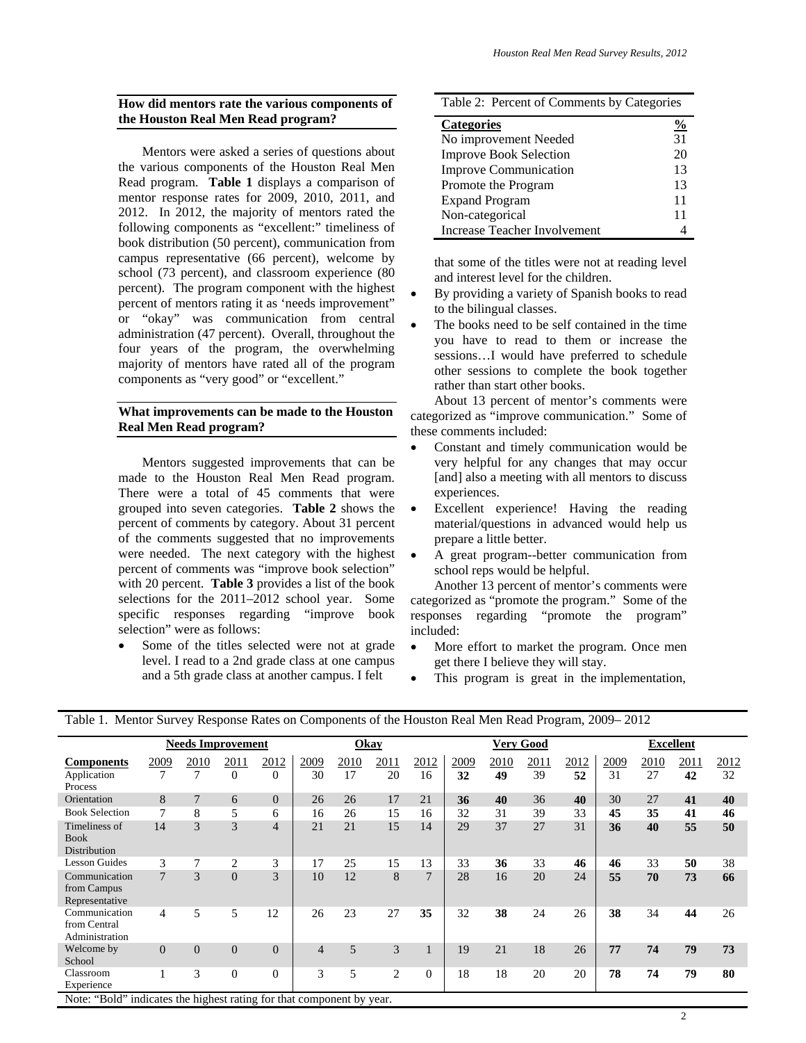### **How did mentors rate the various components of the Houston Real Men Read program?**

 Mentors were asked a series of questions about the various components of the Houston Real Men Read program. **Table 1** displays a comparison of mentor response rates for 2009, 2010, 2011, and 2012. In 2012, the majority of mentors rated the following components as "excellent:" timeliness of book distribution (50 percent), communication from campus representative (66 percent), welcome by school (73 percent), and classroom experience (80 percent). The program component with the highest percent of mentors rating it as 'needs improvement" or "okay" was communication from central administration (47 percent). Overall, throughout the four years of the program, the overwhelming majority of mentors have rated all of the program components as "very good" or "excellent."

## **What improvements can be made to the Houston Real Men Read program?**

 Mentors suggested improvements that can be made to the Houston Real Men Read program. There were a total of 45 comments that were grouped into seven categories. **Table 2** shows the percent of comments by category. About 31 percent of the comments suggested that no improvements were needed. The next category with the highest percent of comments was "improve book selection" with 20 percent. **Table 3** provides a list of the book selections for the 2011–2012 school year. Some specific responses regarding "improve book selection" were as follows:

 Some of the titles selected were not at grade level. I read to a 2nd grade class at one campus and a 5th grade class at another campus. I felt

| Table 2: Percent of Comments by Categories |    |  |  |  |
|--------------------------------------------|----|--|--|--|
| <b>Categories</b>                          |    |  |  |  |
| No improvement Needed                      | 31 |  |  |  |
| <b>Improve Book Selection</b>              | 20 |  |  |  |
| <b>Improve Communication</b>               | 13 |  |  |  |
| Promote the Program                        | 13 |  |  |  |
| <b>Expand Program</b>                      | 11 |  |  |  |
| Non-categorical                            | 11 |  |  |  |
| Increase Teacher Involvement               |    |  |  |  |

that some of the titles were not at reading level and interest level for the children.

- By providing a variety of Spanish books to read to the bilingual classes.
- The books need to be self contained in the time you have to read to them or increase the sessions…I would have preferred to schedule other sessions to complete the book together rather than start other books.

About 13 percent of mentor's comments were categorized as "improve communication." Some of these comments included:

- Constant and timely communication would be very helpful for any changes that may occur [and] also a meeting with all mentors to discuss experiences.
- Excellent experience! Having the reading material/questions in advanced would help us prepare a little better.
- A great program--better communication from school reps would be helpful.

 Another 13 percent of mentor's comments were categorized as "promote the program." Some of the responses regarding "promote the program" included:

- More effort to market the program. Once men get there I believe they will stay.
- This program is great in the implementation,

|                                                                       | <b>Needs Improvement</b> |                |          |                | Okay           |      |                | <b>Very Good</b> |      |      | <b>Excellent</b> |      |      |      |      |      |
|-----------------------------------------------------------------------|--------------------------|----------------|----------|----------------|----------------|------|----------------|------------------|------|------|------------------|------|------|------|------|------|
| <b>Components</b>                                                     | 2009                     | 2010           | 2011     | 2012           | 2009           | 2010 | 2011           | 2012             | 2009 | 2010 | 2011             | 2012 | 2009 | 2010 | 2011 | 2012 |
| Application<br>Process                                                | 7                        | 7              | $\theta$ | $\Omega$       | 30             | 17   | 20             | 16               | 32   | 49   | 39               | 52   | 31   | 27   | 42   | 32   |
| Orientation                                                           | 8                        | $7\phantom{.}$ | 6        | $\Omega$       | 26             | 26   | 17             | 21               | 36   | 40   | 36               | 40   | 30   | 27   | 41   | 40   |
| <b>Book Selection</b>                                                 | 7                        | 8              | 5        | 6              | 16             | 26   | 15             | 16               | 32   | 31   | 39               | 33   | 45   | 35   | 41   | 46   |
| Timeliness of<br><b>Book</b><br>Distribution                          | 14                       | 3              | 3        | $\overline{4}$ | 21             | 21   | 15             | 14               | 29   | 37   | 27               | 31   | 36   | 40   | 55   | 50   |
| <b>Lesson Guides</b>                                                  | 3                        |                | 2        | 3              | 17             | 25   | 15             | 13               | 33   | 36   | 33               | 46   | 46   | 33   | 50   | 38   |
| Communication<br>from Campus<br>Representative                        | $\overline{7}$           | 3              | $\Omega$ | 3              | 10             | 12   | 8              | 7                | 28   | 16   | 20               | 24   | 55   | 70   | 73   | 66   |
| Communication<br>from Central<br>Administration                       | 4                        | 5              | 5        | 12             | 26             | 23   | 27             | 35               | 32   | 38   | 24               | 26   | 38   | 34   | 44   | 26   |
| Welcome by<br>School                                                  | $\Omega$                 | $\Omega$       | $\Omega$ | $\Omega$       | $\overline{4}$ | 5    | 3              |                  | 19   | 21   | 18               | 26   | 77   | 74   | 79   | 73   |
| Classroom<br>Experience                                               |                          | 3              | $\Omega$ | $\Omega$       | 3              | 5    | $\overline{c}$ | $\Omega$         | 18   | 18   | 20               | 20   | 78   | 74   | 79   | 80   |
| Note: "Bold" indicates the highest rating for that component by year. |                          |                |          |                |                |      |                |                  |      |      |                  |      |      |      |      |      |

Table 1. Mentor Survey Response Rates on Components of the Houston Real Men Read Program, 2009– 2012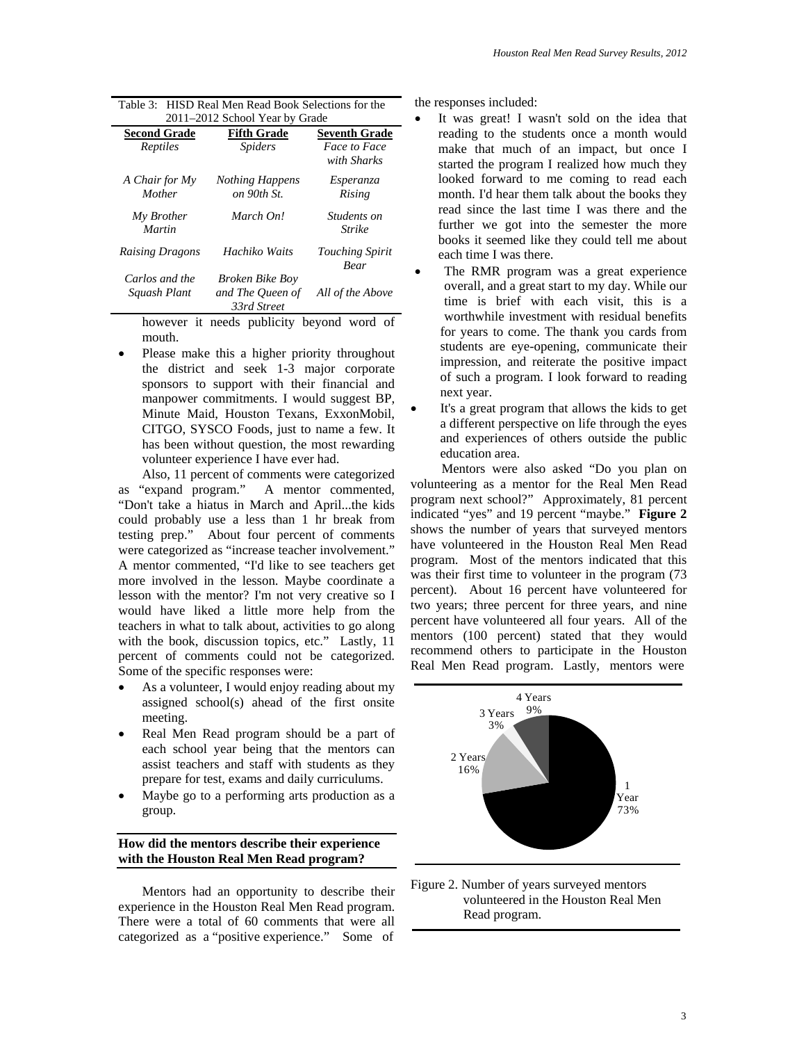| Houston Real Men Read Survey Results, 2012 |  |  |
|--------------------------------------------|--|--|
|--------------------------------------------|--|--|

| 2011–2012 School Year by Grade |                                                           |                                       |  |  |  |
|--------------------------------|-----------------------------------------------------------|---------------------------------------|--|--|--|
| <b>Second Grade</b>            | <b>Fifth Grade</b>                                        | <b>Seventh Grade</b>                  |  |  |  |
| Reptiles                       | <i>Spiders</i>                                            | Face to Face<br>with Sharks           |  |  |  |
| A Chair for My                 | <b>Nothing Happens</b>                                    | <i>Esperanza</i>                      |  |  |  |
| Mother                         | on 90th St.                                               | Rising                                |  |  |  |
| My Brother<br><b>Martin</b>    | March On!                                                 | <i>Students on</i><br>Strike          |  |  |  |
| <b>Raising Dragons</b>         | Hachiko Waits                                             | <b>Touching Spirit</b><br><b>Bear</b> |  |  |  |
| Carlos and the<br>Squash Plant | <b>Broken Bike Boy</b><br>and The Queen of<br>33rd Street | All of the Above                      |  |  |  |

| Table 3: HISD Real Men Read Book Selections for the |
|-----------------------------------------------------|
| 2011–2012 School Year by Grade                      |

however it needs publicity beyond word of mouth.

 Please make this a higher priority throughout the district and seek 1-3 major corporate sponsors to support with their financial and manpower commitments. I would suggest BP, Minute Maid, Houston Texans, ExxonMobil, CITGO, SYSCO Foods, just to name a few. It has been without question, the most rewarding volunteer experience I have ever had.

Also, 11 percent of comments were categorized as "expand program." A mentor commented, "Don't take a hiatus in March and April...the kids could probably use a less than 1 hr break from testing prep." About four percent of comments were categorized as "increase teacher involvement." A mentor commented, "I'd like to see teachers get more involved in the lesson. Maybe coordinate a lesson with the mentor? I'm not very creative so I would have liked a little more help from the teachers in what to talk about, activities to go along with the book, discussion topics, etc." Lastly, 11 percent of comments could not be categorized. Some of the specific responses were:

- As a volunteer, I would enjoy reading about my assigned school(s) ahead of the first onsite meeting.
- Real Men Read program should be a part of each school year being that the mentors can assist teachers and staff with students as they prepare for test, exams and daily curriculums.
- Maybe go to a performing arts production as a group.

### **How did the mentors describe their experience with the Houston Real Men Read program?**

Mentors had an opportunity to describe their experience in the Houston Real Men Read program. There were a total of 60 comments that were all categorized as a "positive experience." Some of

the responses included:

- It was great! I wasn't sold on the idea that reading to the students once a month would make that much of an impact, but once I started the program I realized how much they looked forward to me coming to read each month. I'd hear them talk about the books they read since the last time I was there and the further we got into the semester the more books it seemed like they could tell me about each time I was there.
- The RMR program was a great experience overall, and a great start to my day. While our time is brief with each visit, this is a worthwhile investment with residual benefits for years to come. The thank you cards from students are eye-opening, communicate their impression, and reiterate the positive impact of such a program. I look forward to reading next year.
- It's a great program that allows the kids to get a different perspective on life through the eyes and experiences of others outside the public education area.

 Mentors were also asked "Do you plan on volunteering as a mentor for the Real Men Read program next school?" Approximately, 81 percent indicated "yes" and 19 percent "maybe." **Figure 2** shows the number of years that surveyed mentors have volunteered in the Houston Real Men Read program. Most of the mentors indicated that this was their first time to volunteer in the program (73 percent). About 16 percent have volunteered for two years; three percent for three years, and nine percent have volunteered all four years. All of the mentors (100 percent) stated that they would recommend others to participate in the Houston Real Men Read program. Lastly, mentors were



Figure 2. Number of years surveyed mentors volunteered in the Houston Real Men Read program.